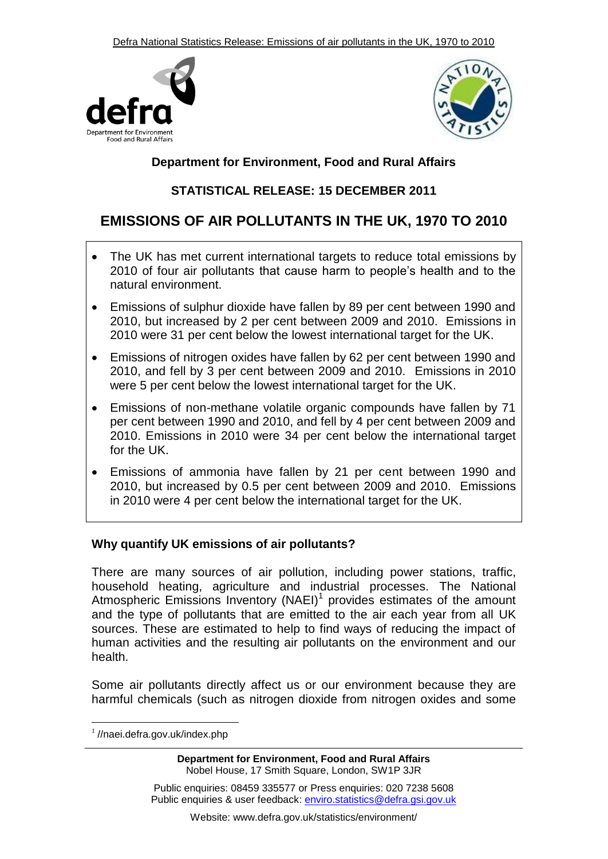Defra National Statistics Release: Emissions of air pollutants in the UK, 1970 to 2010





## **Department for Environment, Food and Rural Affairs**

## **STATISTICAL RELEASE: 15 DECEMBER 2011**

# **EMISSIONS OF AIR POLLUTANTS IN THE UK, 1970 TO 2010**

- The UK has met current international targets to reduce total emissions by 2010 of four air pollutants that cause harm to people's health and to the natural environment.
- Emissions of sulphur dioxide have fallen by 89 per cent between 1990 and 2010, but increased by 2 per cent between 2009 and 2010. Emissions in 2010 were 31 per cent below the lowest international target for the UK.
- Emissions of nitrogen oxides have fallen by 62 per cent between 1990 and 2010, and fell by 3 per cent between 2009 and 2010. Emissions in 2010 were 5 per cent below the lowest international target for the UK.
- Emissions of non-methane volatile organic compounds have fallen by 71 per cent between 1990 and 2010, and fell by 4 per cent between 2009 and 2010. Emissions in 2010 were 34 per cent below the international target for the UK.
- Emissions of ammonia have fallen by 21 per cent between 1990 and 2010, but increased by 0.5 per cent between 2009 and 2010. Emissions in 2010 were 4 per cent below the international target for the UK.

## **Why quantify UK emissions of air pollutants?**

There are many sources of air pollution, including power stations, traffic, household heating, agriculture and industrial processes. The National Atmospheric Emissions Inventory (NAEI)<sup>1</sup> provides estimates of the amount and the type of pollutants that are emitted to the air each year from all UK sources. These are estimated to help to find ways of reducing the impact of human activities and the resulting air pollutants on the environment and our health.

Some air pollutants directly affect us or our environment because they are harmful chemicals (such as nitrogen dioxide from nitrogen oxides and some

<sup>1</sup>//naei.defra.gov.uk/index.php

 $\overline{a}$ 

**Department for Environment, Food and Rural Affairs** Nobel House, 17 Smith Square, London, SW1P 3JR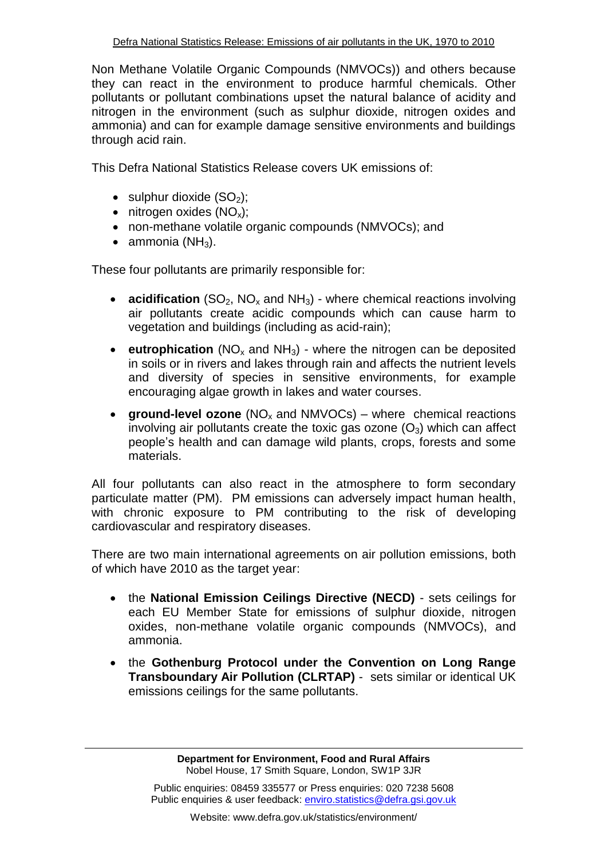Non Methane Volatile Organic Compounds (NMVOCs)) and others because they can react in the environment to produce harmful chemicals. Other pollutants or pollutant combinations upset the natural balance of acidity and nitrogen in the environment (such as sulphur dioxide, nitrogen oxides and ammonia) and can for example damage sensitive environments and buildings through acid rain.

This Defra National Statistics Release covers UK emissions of:

- $\bullet$  sulphur dioxide (SO<sub>2</sub>);
- $\bullet$  nitrogen oxides (NO<sub>x</sub>);
- non-methane volatile organic compounds (NMVOCs); and
- $\bullet$  ammonia (NH<sub>3</sub>).

These four pollutants are primarily responsible for:

- **acidification** (SO<sub>2</sub>, NO<sub>x</sub> and NH<sub>3</sub>) where chemical reactions involving air pollutants create acidic compounds which can cause harm to vegetation and buildings (including as acid-rain);
- **eutrophication** ( $NO<sub>x</sub>$  and  $NH<sub>3</sub>$ ) where the nitrogen can be deposited in soils or in rivers and lakes through rain and affects the nutrient levels and diversity of species in sensitive environments, for example encouraging algae growth in lakes and water courses.
- **•** ground-level ozone  $(NO_x$  and  $NMVOCs)$  where chemical reactions involving air pollutants create the toxic gas ozone  $(O_3)$  which can affect people's health and can damage wild plants, crops, forests and some materials.

All four pollutants can also react in the atmosphere to form secondary particulate matter (PM). PM emissions can adversely impact human health, with chronic exposure to PM contributing to the risk of developing cardiovascular and respiratory diseases.

There are two main international agreements on air pollution emissions, both of which have 2010 as the target year:

- the **National Emission Ceilings Directive (NECD)** sets ceilings for each EU Member State for emissions of sulphur dioxide, nitrogen oxides, non-methane volatile organic compounds (NMVOCs), and ammonia.
- the **Gothenburg Protocol under the Convention on Long Range Transboundary Air Pollution (CLRTAP)** - sets similar or identical UK emissions ceilings for the same pollutants.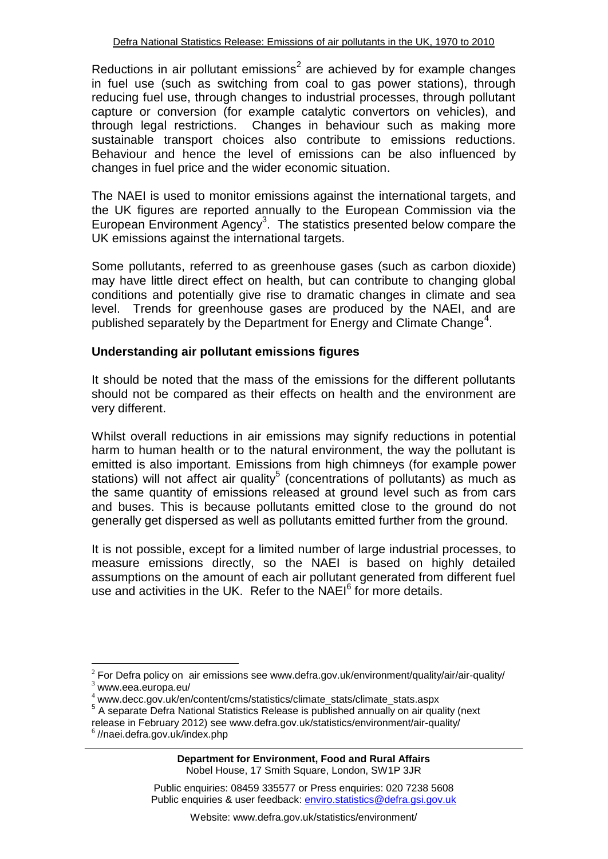Reductions in air pollutant emissions<sup>2</sup> are achieved by for example changes in fuel use (such as switching from coal to gas power stations), through reducing fuel use, through changes to industrial processes, through pollutant capture or conversion (for example catalytic convertors on vehicles), and through legal restrictions. Changes in behaviour such as making more sustainable transport choices also contribute to emissions reductions. Behaviour and hence the level of emissions can be also influenced by changes in fuel price and the wider economic situation.

The NAEI is used to monitor emissions against the international targets, and the UK figures are reported annually to the European Commission via the European Environment Agency<sup>3</sup>. The statistics presented below compare the UK emissions against the international targets.

Some pollutants, referred to as greenhouse gases (such as carbon dioxide) may have little direct effect on health, but can contribute to changing global conditions and potentially give rise to dramatic changes in climate and sea level. Trends for greenhouse gases are produced by the NAEI, and are published separately by the Department for Energy and Climate Change<sup>4</sup>.

## **Understanding air pollutant emissions figures**

It should be noted that the mass of the emissions for the different pollutants should not be compared as their effects on health and the environment are very different.

Whilst overall reductions in air emissions may signify reductions in potential harm to human health or to the natural environment, the way the pollutant is emitted is also important. Emissions from high chimneys (for example power stations) will not affect air quality<sup>5</sup> (concentrations of pollutants) as much as the same quantity of emissions released at ground level such as from cars and buses. This is because pollutants emitted close to the ground do not generally get dispersed as well as pollutants emitted further from the ground.

It is not possible, except for a limited number of large industrial processes, to measure emissions directly, so the NAEI is based on highly detailed assumptions on the amount of each air pollutant generated from different fuel use and activities in the UK. Refer to the NAEI<sup>6</sup> for more details.

 $\overline{a}$ 

 $2^2$  For Defra policy on air emissions see www.defra.gov.uk/environment/quality/air/air-quality/  $3$  www.eea.europa.eu/

<sup>4</sup> www.decc.gov.uk/en/content/cms/statistics/climate\_stats/climate\_stats.aspx

<sup>&</sup>lt;sup>5</sup> A separate Defra National Statistics Release is published annually on air quality (next release in February 2012) see www.defra.gov.uk/statistics/environment/air-quality/

<sup>6</sup> //naei.defra.gov.uk/index.php

Public enquiries: 08459 335577 or Press enquiries: 020 7238 5608 Public enquiries & user feedback: enviro.statistics@defra.gsi.gov.uk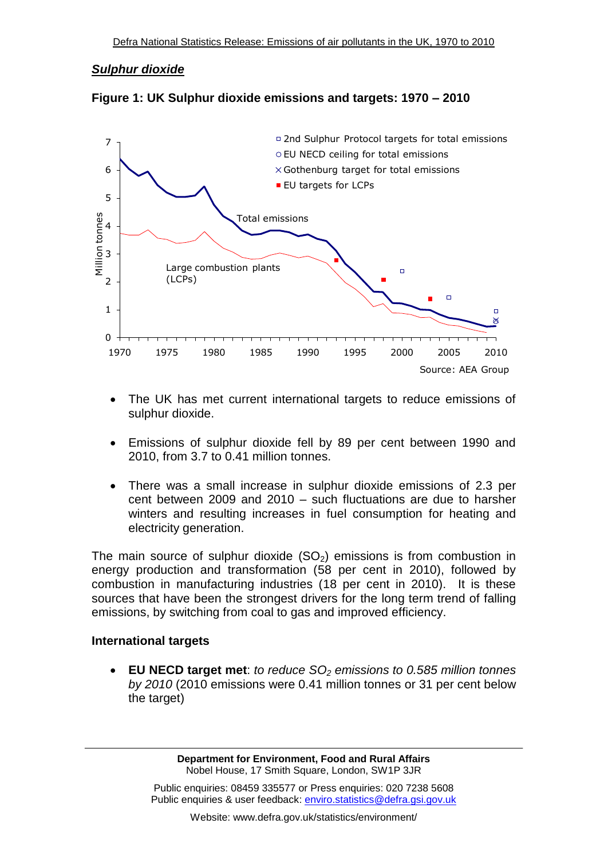## *Sulphur dioxide*



**Figure 1: UK Sulphur dioxide emissions and targets: 1970 – 2010**

- The UK has met current international targets to reduce emissions of sulphur dioxide.
- Emissions of sulphur dioxide fell by 89 per cent between 1990 and 2010, from 3.7 to 0.41 million tonnes.
- There was a small increase in sulphur dioxide emissions of 2.3 per cent between 2009 and 2010 – such fluctuations are due to harsher winters and resulting increases in fuel consumption for heating and electricity generation.

The main source of sulphur dioxide  $(SO<sub>2</sub>)$  emissions is from combustion in energy production and transformation (58 per cent in 2010), followed by combustion in manufacturing industries (18 per cent in 2010). It is these sources that have been the strongest drivers for the long term trend of falling emissions, by switching from coal to gas and improved efficiency.

## **International targets**

 **EU NECD target met**: *to reduce SO<sup>2</sup> emissions to 0.585 million tonnes by 2010* (2010 emissions were 0.41 million tonnes or 31 per cent below the target)

> **Department for Environment, Food and Rural Affairs** Nobel House, 17 Smith Square, London, SW1P 3JR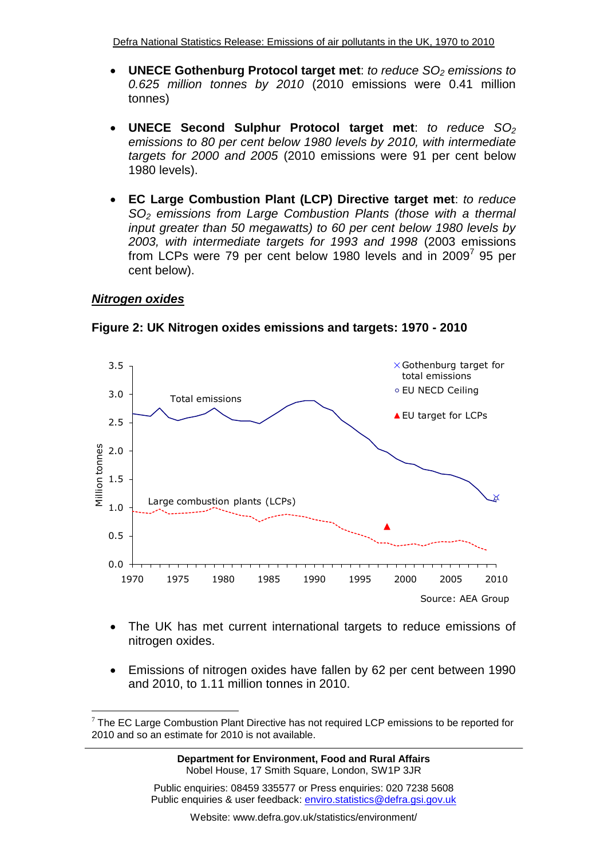- **UNECE Gothenburg Protocol target met**: *to reduce SO<sup>2</sup> emissions to 0.625 million tonnes by 2010* (2010 emissions were 0.41 million tonnes)
- **UNECE Second Sulphur Protocol target met**: *to reduce SO<sup>2</sup> emissions to 80 per cent below 1980 levels by 2010, with intermediate targets for 2000 and 2005* (2010 emissions were 91 per cent below 1980 levels).
- **EC Large Combustion Plant (LCP) Directive target met**: *to reduce SO<sup>2</sup> emissions from Large Combustion Plants (those with a thermal input greater than 50 megawatts) to 60 per cent below 1980 levels by 2003, with intermediate targets for 1993 and 1998* (2003 emissions from LCPs were 79 per cent below 1980 levels and in 2009<sup>7</sup> 95 per cent below).

### *Nitrogen oxides*

 $\overline{a}$ 



**Figure 2: UK Nitrogen oxides emissions and targets: 1970 - 2010**

- The UK has met current international targets to reduce emissions of nitrogen oxides.
- Emissions of nitrogen oxides have fallen by 62 per cent between 1990 and 2010, to 1.11 million tonnes in 2010.

 $7$  The EC Large Combustion Plant Directive has not required LCP emissions to be reported for 2010 and so an estimate for 2010 is not available.

**Department for Environment, Food and Rural Affairs** Nobel House, 17 Smith Square, London, SW1P 3JR

Public enquiries: 08459 335577 or Press enquiries: 020 7238 5608 Public enquiries & user feedback: enviro.statistics@defra.gsi.gov.uk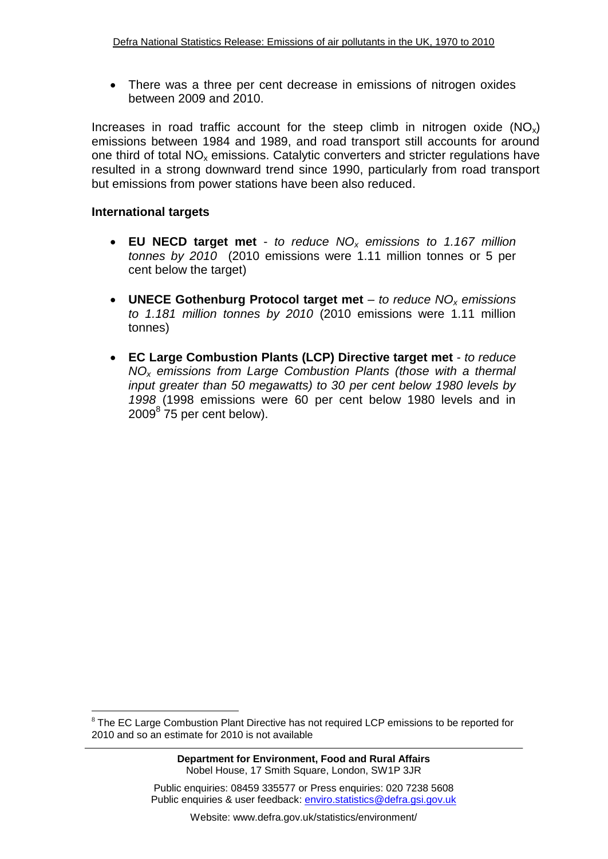There was a three per cent decrease in emissions of nitrogen oxides between 2009 and 2010.

Increases in road traffic account for the steep climb in nitrogen oxide  $(NO_x)$ emissions between 1984 and 1989, and road transport still accounts for around one third of total  $NO<sub>x</sub>$  emissions. Catalytic converters and stricter regulations have resulted in a strong downward trend since 1990, particularly from road transport but emissions from power stations have been also reduced.

## **International targets**

 $\overline{a}$ 

- **EU NECD target met**  *to reduce NO<sup>x</sup> emissions to 1.167 million tonnes by 2010* (2010 emissions were 1.11 million tonnes or 5 per cent below the target)
- **UNECE Gothenburg Protocol target met** *to reduce NO<sup>x</sup> emissions to 1.181 million tonnes by 2010* (2010 emissions were 1.11 million tonnes)
- **EC Large Combustion Plants (LCP) Directive target met** *to reduce NO<sup>x</sup> emissions from Large Combustion Plants (those with a thermal input greater than 50 megawatts) to 30 per cent below 1980 levels by 1998* (1998 emissions were 60 per cent below 1980 levels and in  $2009^8$  75 per cent below).

 $8$  The EC Large Combustion Plant Directive has not required LCP emissions to be reported for 2010 and so an estimate for 2010 is not available

Public enquiries: 08459 335577 or Press enquiries: 020 7238 5608 Public enquiries & user feedback: enviro.statistics@defra.gsi.gov.uk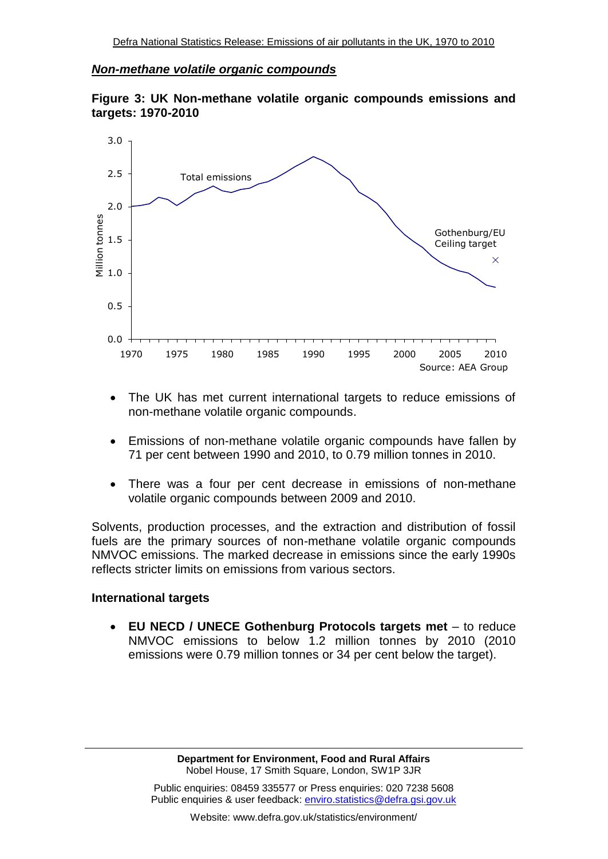#### *Non-methane volatile organic compounds*





- The UK has met current international targets to reduce emissions of non-methane volatile organic compounds.
- Emissions of non-methane volatile organic compounds have fallen by 71 per cent between 1990 and 2010, to 0.79 million tonnes in 2010.
- There was a four per cent decrease in emissions of non-methane volatile organic compounds between 2009 and 2010.

Solvents, production processes, and the extraction and distribution of fossil fuels are the primary sources of non-methane volatile organic compounds NMVOC emissions. The marked decrease in emissions since the early 1990s reflects stricter limits on emissions from various sectors.

#### **International targets**

 **EU NECD / UNECE Gothenburg Protocols targets met** – to reduce NMVOC emissions to below 1.2 million tonnes by 2010 (2010 emissions were 0.79 million tonnes or 34 per cent below the target).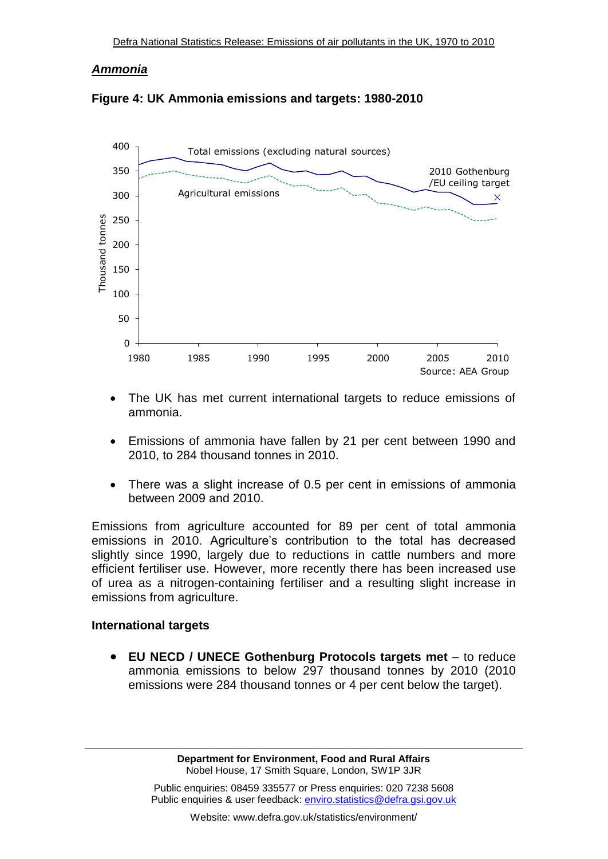#### *Ammonia*





- The UK has met current international targets to reduce emissions of ammonia.
- Emissions of ammonia have fallen by 21 per cent between 1990 and 2010, to 284 thousand tonnes in 2010.
- There was a slight increase of 0.5 per cent in emissions of ammonia between 2009 and 2010.

Emissions from agriculture accounted for 89 per cent of total ammonia emissions in 2010. Agriculture's contribution to the total has decreased slightly since 1990, largely due to reductions in cattle numbers and more efficient fertiliser use. However, more recently there has been increased use of urea as a nitrogen-containing fertiliser and a resulting slight increase in emissions from agriculture.

#### **International targets**

 **EU NECD / UNECE Gothenburg Protocols targets met** – to reduce ammonia emissions to below 297 thousand tonnes by 2010 (2010 emissions were 284 thousand tonnes or 4 per cent below the target).

> **Department for Environment, Food and Rural Affairs** Nobel House, 17 Smith Square, London, SW1P 3JR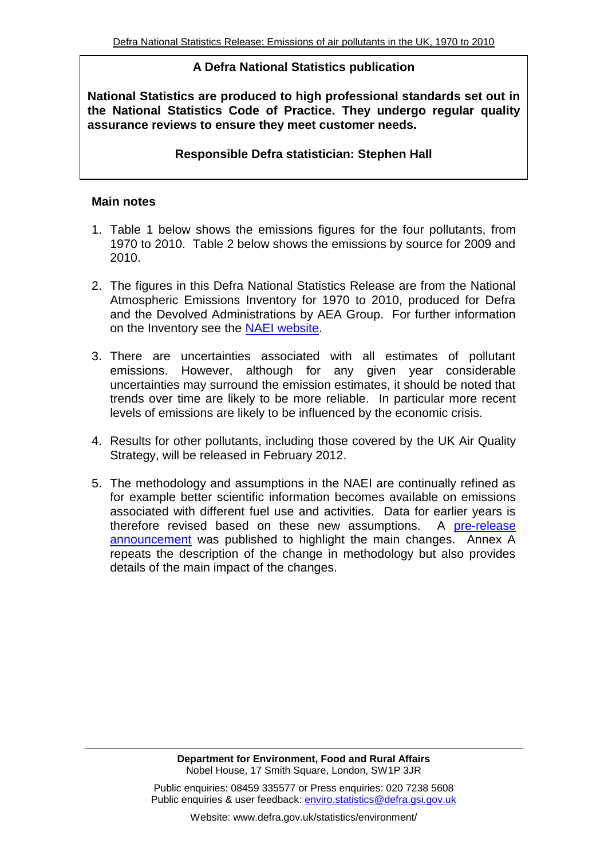### **A Defra National Statistics publication**

**National Statistics are produced to high professional standards set out in the National Statistics Code of Practice. They undergo regular quality assurance reviews to ensure they meet customer needs.**

### **Responsible Defra statistician: Stephen Hall**

#### **Main notes**

- 1. Table 1 below shows the emissions figures for the four pollutants, from 1970 to 2010. Table 2 below shows the emissions by source for 2009 and 2010.
- 2. The figures in this Defra National Statistics Release are from the National Atmospheric Emissions Inventory for 1970 to 2010, produced for Defra and the Devolved Administrations by AEA Group. For further information on the Inventory see the [NAEI website.](//naei.defra.gov.uk/index.php)
- 3. There are uncertainties associated with all estimates of pollutant emissions. However, although for any given year considerable uncertainties may surround the emission estimates, it should be noted that trends over time are likely to be more reliable. In particular more recent levels of emissions are likely to be influenced by the economic crisis.
- 4. Results for other pollutants, including those covered by the UK Air Quality Strategy, will be released in February 2012.
- 5. The methodology and assumptions in the NAEI are continually refined as for example better scientific information becomes available on emissions associated with different fuel use and activities. Data for earlier years is therefore revised based on these new assumptions. A [pre-release](http://www.defra.gov.uk/statistics/files/Pre-release-announcement-of-methodological-changes-for-air-pollutant-emissions.doc.pdf)  [announcement](http://www.defra.gov.uk/statistics/files/Pre-release-announcement-of-methodological-changes-for-air-pollutant-emissions.doc.pdf) was published to highlight the main changes. Annex A repeats the description of the change in methodology but also provides details of the main impact of the changes.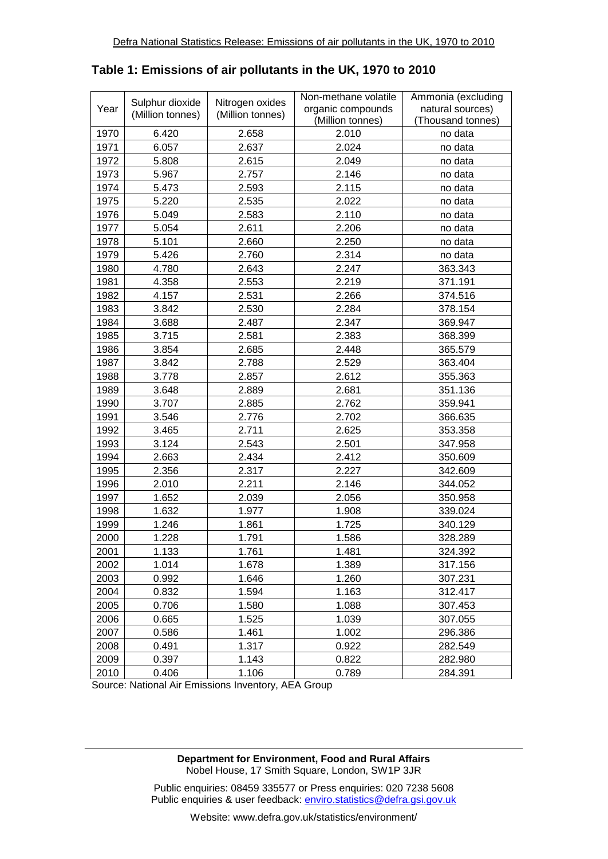|      |                  |                  | Non-methane volatile | Ammonia (excluding |  |  |
|------|------------------|------------------|----------------------|--------------------|--|--|
| Year | Sulphur dioxide  | Nitrogen oxides  | organic compounds    | natural sources)   |  |  |
|      | (Million tonnes) | (Million tonnes) | (Million tonnes)     | (Thousand tonnes)  |  |  |
| 1970 | 6.420            | 2.658            | 2.010                | no data            |  |  |
| 1971 | 6.057            | 2.637            | 2.024                | no data            |  |  |
| 1972 | 5.808            | 2.615            | 2.049                | no data            |  |  |
| 1973 | 5.967            | 2.757            | 2.146                | no data            |  |  |
| 1974 | 5.473            | 2.593            | 2.115                | no data            |  |  |
| 1975 | 5.220            | 2.535            | 2.022                | no data            |  |  |
| 1976 | 5.049            | 2.583            | 2.110                | no data            |  |  |
| 1977 | 5.054            | 2.611            | 2.206                | no data            |  |  |
| 1978 | 5.101            | 2.660            | 2.250                | no data            |  |  |
| 1979 | 5.426            | 2.760            | 2.314                | no data            |  |  |
| 1980 | 4.780            | 2.643            | 2.247                | 363.343            |  |  |
| 1981 | 4.358            | 2.553            | 2.219                | 371.191            |  |  |
| 1982 | 4.157            | 2.531            | 2.266                | 374.516            |  |  |
| 1983 | 3.842            | 2.530            | 2.284                | 378.154            |  |  |
| 1984 | 3.688            | 2.487            | 2.347                | 369.947            |  |  |
| 1985 | 3.715            | 2.581            | 2.383                | 368.399            |  |  |
| 1986 | 3.854            | 2.685            | 2.448                | 365.579            |  |  |
| 1987 | 3.842            | 2.788            | 2.529                | 363.404            |  |  |
| 1988 | 3.778            | 2.857            | 2.612                | 355.363            |  |  |
| 1989 | 3.648            | 2.889            | 2.681                | 351.136            |  |  |
| 1990 | 3.707            | 2.885            | 2.762                | 359.941            |  |  |
| 1991 | 3.546            | 2.776            | 2.702                | 366.635            |  |  |
| 1992 | 3.465            | 2.711            | 2.625                | 353.358            |  |  |
| 1993 | 3.124            | 2.543            | 2.501                | 347.958            |  |  |
| 1994 | 2.663            | 2.434            | 2.412                | 350.609            |  |  |
| 1995 | 2.356            | 2.317            | 2.227                | 342.609            |  |  |
| 1996 | 2.010            | 2.211            | 2.146                | 344.052            |  |  |
| 1997 | 1.652            | 2.039            | 2.056                | 350.958            |  |  |
| 1998 | 1.632            | 1.977            | 1.908                | 339.024            |  |  |
| 1999 | 1.246            | 1.861            | 1.725                | 340.129            |  |  |
| 2000 | 1.228            | 1.791            | 1.586                | 328.289            |  |  |
| 2001 | 1.133            | 1.761            | 1.481                | 324.392            |  |  |
| 2002 | 1.014            | 1.678            | 1.389                | 317.156            |  |  |
| 2003 | 0.992            | 1.646            | 1.260                | 307.231            |  |  |
| 2004 | 0.832            | 1.594            | 1.163                | 312.417            |  |  |
| 2005 | 0.706            | 1.580            | 1.088                | 307.453            |  |  |
| 2006 | 0.665            | 1.525            | 1.039                | 307.055            |  |  |
| 2007 | 0.586            | 1.461            | 1.002                | 296.386            |  |  |
| 2008 | 0.491            | 1.317            | 0.922                | 282.549            |  |  |
| 2009 | 0.397            | 1.143            | 0.822                | 282.980            |  |  |
| 2010 | 0.406            | 1.106            | 0.789                | 284.391            |  |  |

#### **Table 1: Emissions of air pollutants in the UK, 1970 to 2010**

Source: National Air Emissions Inventory, AEA Group

**Department for Environment, Food and Rural Affairs** Nobel House, 17 Smith Square, London, SW1P 3JR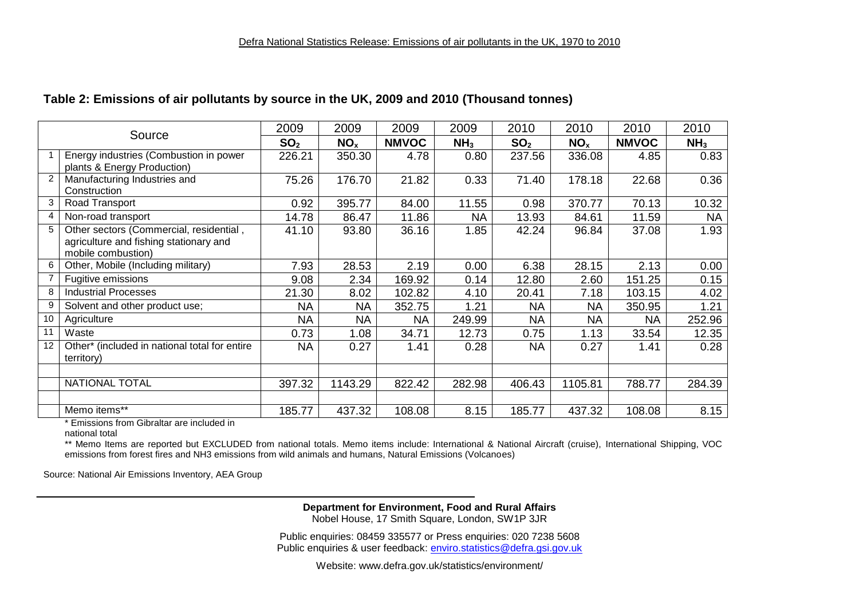#### **Table 2: Emissions of air pollutants by source in the UK, 2009 and 2010 (Thousand tonnes)**

| Source         |                                                                                                         | 2009            | 2009            | 2009         | 2009            | 2010            | 2010            | 2010         | 2010            |
|----------------|---------------------------------------------------------------------------------------------------------|-----------------|-----------------|--------------|-----------------|-----------------|-----------------|--------------|-----------------|
|                |                                                                                                         | SO <sub>2</sub> | NO <sub>x</sub> | <b>NMVOC</b> | NH <sub>3</sub> | SO <sub>2</sub> | NO <sub>x</sub> | <b>NMVOC</b> | NH <sub>3</sub> |
|                | Energy industries (Combustion in power<br>plants & Energy Production)                                   | 226.21          | 350.30          | 4.78         | 0.80            | 237.56          | 336.08          | 4.85         | 0.83            |
| $\overline{2}$ | Manufacturing Industries and<br>Construction                                                            | 75.26           | 176.70          | 21.82        | 0.33            | 71.40           | 178.18          | 22.68        | 0.36            |
| 3              | Road Transport                                                                                          | 0.92            | 395.77          | 84.00        | 11.55           | 0.98            | 370.77          | 70.13        | 10.32           |
| 4              | Non-road transport                                                                                      | 14.78           | 86.47           | 11.86        | <b>NA</b>       | 13.93           | 84.61           | 11.59        | <b>NA</b>       |
| 5              | Other sectors (Commercial, residential,<br>agriculture and fishing stationary and<br>mobile combustion) | 41.10           | 93.80           | 36.16        | 1.85            | 42.24           | 96.84           | 37.08        | 1.93            |
| 6              | Other, Mobile (Including military)                                                                      | 7.93            | 28.53           | 2.19         | 0.00            | 6.38            | 28.15           | 2.13         | 0.00            |
|                | Fugitive emissions                                                                                      | 9.08            | 2.34            | 169.92       | 0.14            | 12.80           | 2.60            | 151.25       | 0.15            |
| 8              | <b>Industrial Processes</b>                                                                             | 21.30           | 8.02            | 102.82       | 4.10            | 20.41           | 7.18            | 103.15       | 4.02            |
| 9              | Solvent and other product use;                                                                          | <b>NA</b>       | <b>NA</b>       | 352.75       | 1.21            | <b>NA</b>       | <b>NA</b>       | 350.95       | 1.21            |
| 10             | Agriculture                                                                                             | <b>NA</b>       | <b>NA</b>       | NA           | 249.99          | <b>NA</b>       | <b>NA</b>       | <b>NA</b>    | 252.96          |
| 11             | Waste                                                                                                   | 0.73            | 1.08            | 34.71        | 12.73           | 0.75            | 1.13            | 33.54        | 12.35           |
| 12             | Other* (included in national total for entire<br>territory)                                             | <b>NA</b>       | 0.27            | 1.41         | 0.28            | <b>NA</b>       | 0.27            | 1.41         | 0.28            |
|                |                                                                                                         |                 |                 |              |                 |                 |                 |              |                 |
|                | NATIONAL TOTAL                                                                                          | 397.32          | 1143.29         | 822.42       | 282.98          | 406.43          | 1105.81         | 788.77       | 284.39          |
|                |                                                                                                         |                 |                 |              |                 |                 |                 |              |                 |
|                | Memo items**                                                                                            | 185.77          | 437.32          | 108.08       | 8.15            | 185.77          | 437.32          | 108.08       | 8.15            |

\* Emissions from Gibraltar are included in

national total

\*\* Memo Items are reported but EXCLUDED from national totals. Memo items include: International & National Aircraft (cruise), International Shipping, VOC emissions from forest fires and NH3 emissions from wild animals and humans, Natural Emissions (Volcanoes)

Source: National Air Emissions Inventory, AEA Group

**Department for Environment, Food and Rural Affairs** Nobel House, 17 Smith Square, London, SW1P 3JR

Public enquiries: 08459 335577 or Press enquiries: 020 7238 5608 Public enquiries & user feedback: enviro.statistics@defra.gsi.gov.uk

Website: www.defra.gov.uk/statistics/environment/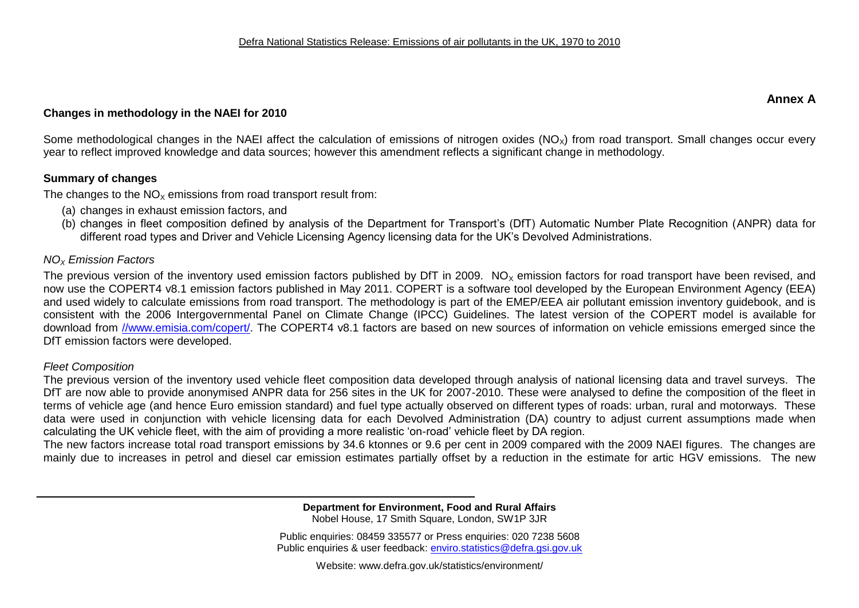#### **Annex A**

#### **Changes in methodology in the NAEI for 2010**

Some methodological changes in the NAEI affect the calculation of emissions of nitrogen oxides ( $NO_x$ ) from road transport. Small changes occur every year to reflect improved knowledge and data sources; however this amendment reflects a significant change in methodology.

#### **Summary of changes**

The changes to the  $NO<sub>x</sub>$  emissions from road transport result from:

- (a) changes in exhaust emission factors, and
- (b) changes in fleet composition defined by analysis of the Department for Transport's (DfT) Automatic Number Plate Recognition (ANPR) data for different road types and Driver and Vehicle Licensing Agency licensing data for the UK's Devolved Administrations.

#### *NO<sup>X</sup> Emission Factors*

The previous version of the inventory used emission factors published by DfT in 2009.  $NO<sub>x</sub>$  emission factors for road transport have been revised, and now use the COPERT4 v8.1 emission factors published in May 2011. COPERT is a software tool developed by the European Environment Agency (EEA) and used widely to calculate emissions from road transport. The methodology is part of the EMEP/EEA air pollutant emission inventory guidebook, and is consistent with the 2006 Intergovernmental Panel on Climate Change (IPCC) Guidelines. The latest version of the COPERT model is available for download from [//www.emisia.com/copert/.](http://www.emisia.com/copert/) The COPERT4 v8.1 factors are based on new sources of information on vehicle emissions emerged since the DfT emission factors were developed.

#### *Fleet Composition*

The previous version of the inventory used vehicle fleet composition data developed through analysis of national licensing data and travel surveys. The DfT are now able to provide anonymised ANPR data for 256 sites in the UK for 2007-2010. These were analysed to define the composition of the fleet in terms of vehicle age (and hence Euro emission standard) and fuel type actually observed on different types of roads: urban, rural and motorways. These data were used in conjunction with vehicle licensing data for each Devolved Administration (DA) country to adjust current assumptions made when calculating the UK vehicle fleet, with the aim of providing a more realistic 'on-road' vehicle fleet by DA region.

The new factors increase total road transport emissions by 34.6 ktonnes or 9.6 per cent in 2009 compared with the 2009 NAEI figures. The changes are mainly due to increases in petrol and diesel car emission estimates partially offset by a reduction in the estimate for artic HGV emissions. The new

> **Department for Environment, Food and Rural Affairs** Nobel House, 17 Smith Square, London, SW1P 3JR

Public enquiries: 08459 335577 or Press enquiries: 020 7238 5608 Public enquiries & user feedback: enviro.statistics@defra.gsi.gov.uk

Website: www.defra.gov.uk/statistics/environment/